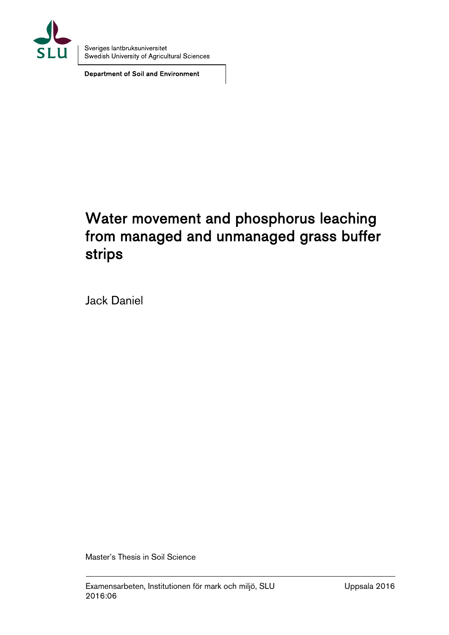

Sveriges lantbruksuniversitet Swedish University of Agricultural Sciences

Department of Soil and Environment

# Water movement and phosphorus leaching from managed and unmanaged grass buffer strips

Jack Daniel

Master's Thesis in Soil Science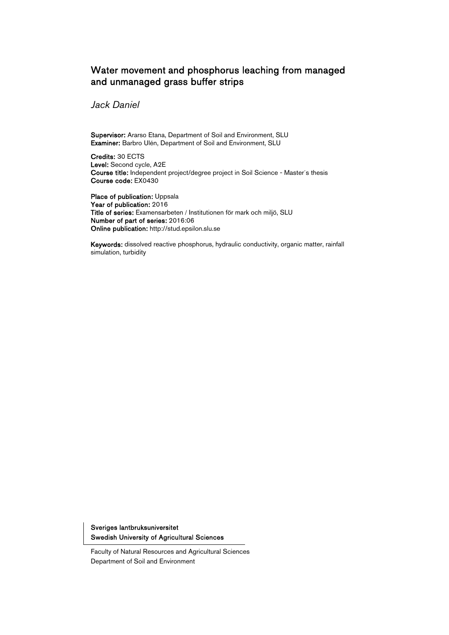## Water movement and phosphorus leaching from managed and unmanaged grass buffer strips

Jack Daniel

Supervisor: Ararso Etana, Department of Soil and Environment, SLU Examiner: Barbro Ulén, Department of Soil and Environment, SLU

Credits: 30 ECTS Level: Second cycle, A2E Course title: Independent project/degree project in Soil Science - Master´s thesis Course code: EX0430

Place of publication: Uppsala Year of publication: 2016 Title of series: Examensarbeten / Institutionen för mark och miljö, SLU Number of part of series: 2016:06 Online publication: http://stud.epsilon.slu.se

Keywords: dissolved reactive phosphorus, hydraulic conductivity, organic matter, rainfall simulation, turbidity

Sveriges lantbruksuniversitet Swedish University of Agricultural Sciences

Faculty of Natural Resources and Agricultural Sciences Department of Soil and Environment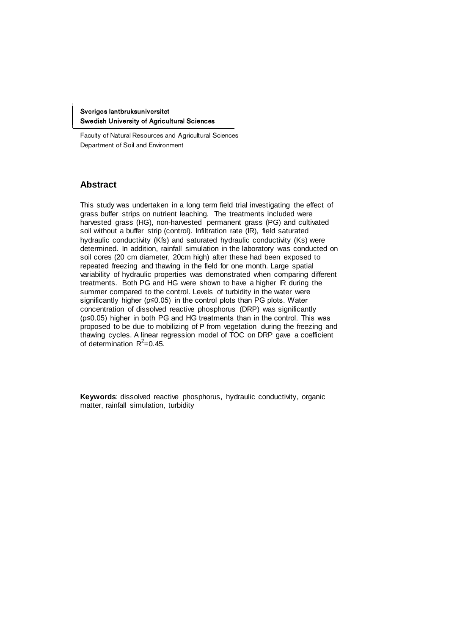Sveriges lantbruksuniversitet Swedish University of Agricultural Sciences

Faculty of Natural Resources and Agricultural Sciences Department of Soil and Environment

#### **Abstract**

This study was undertaken in a long term field trial investigating the effect of grass buffer strips on nutrient leaching. The treatments included were harvested grass (HG), non-harvested permanent grass (PG) and cultivated soil without a buffer strip (control). Infiltration rate (IR), field saturated hydraulic conductivity (Kfs) and saturated hydraulic conductivity (Ks) were determined. In addition, rainfall simulation in the laboratory was conducted on soil cores (20 cm diameter, 20cm high) after these had been exposed to repeated freezing and thawing in the field for one month. Large spatial variability of hydraulic properties was demonstrated when comparing different treatments. Both PG and HG were shown to have a higher IR during the summer compared to the control. Levels of turbidity in the water were significantly higher (p≤0.05) in the control plots than PG plots. Water concentration of dissolved reactive phosphorus (DRP) was significantly (p≤0.05) higher in both PG and HG treatments than in the control. This was proposed to be due to mobilizing of P from vegetation during the freezing and thawing cycles. A linear regression model of TOC on DRP gave a coefficient of determination  $R^2$ =0.45.

Keywords: dissolved reactive phosphorus, hydraulic conductivity, organic matter, rainfall simulation, turbidity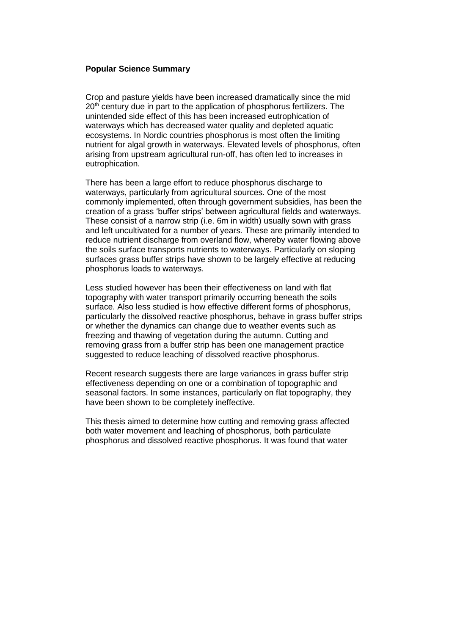#### **Popular Science Summary**

Crop and pasture yields have been increased dramatically since the mid 20<sup>th</sup> century due in part to the application of phosphorus fertilizers. The unintended side effect of this has been increased eutrophication of waterways which has decreased water quality and depleted aquatic ecosystems. In Nordic countries phosphorus is most often the limiting nutrient for algal growth in waterways. Elevated levels of phosphorus, often arising from upstream agricultural run-off, has often led to increases in eutrophication.

There has been a large effort to reduce phosphorus discharge to waterways, particularly from agricultural sources. One of the most commonly implemented, often through government subsidies, has been the creation of a grass 'buffer strips' between agricultural fields and waterways. These consist of a narrow strip (i.e. 6m in width) usually sown with grass and left uncultivated for a number of years. These are primarily intended to reduce nutrient discharge from overland flow, whereby water flowing above the soils surface transports nutrients to waterways. Particularly on sloping surfaces grass buffer strips have shown to be largely effective at reducing phosphorus loads to waterways.

Less studied however has been their effectiveness on land with flat topography with water transport primarily occurring beneath the soils surface. Also less studied is how effective different forms of phosphorus, particularly the dissolved reactive phosphorus, behave in grass buffer strips or whether the dynamics can change due to weather events such as freezing and thawing of vegetation during the autumn. Cutting and removing grass from a buffer strip has been one management practice suggested to reduce leaching of dissolved reactive phosphorus.

Recent research suggests there are large variances in grass buffer strip effectiveness depending on one or a combination of topographic and seasonal factors. In some instances, particularly on flat topography, they have been shown to be completely ineffective.

This thesis aimed to determine how cutting and removing grass affected both water movement and leaching of phosphorus, both particulate phosphorus and dissolved reactive phosphorus. It was found that water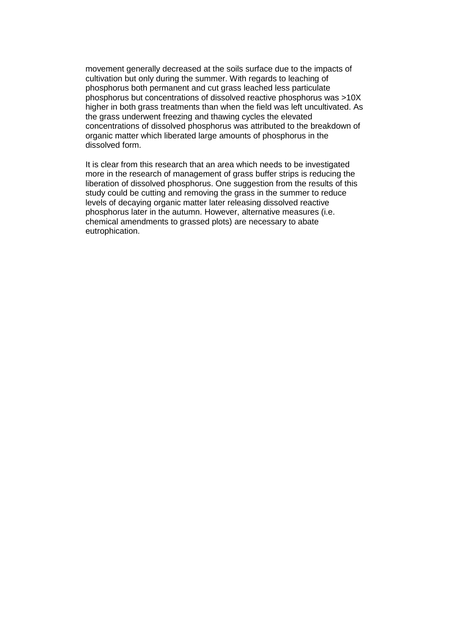movement generally decreased at the soils surface due to the impacts of cultivation but only during the summer. With regards to leaching of phosphorus both permanent and cut grass leached less particulate phosphorus but concentrations of dissolved reactive phosphorus was >10X higher in both grass treatments than when the field was left uncultivated. As the grass underwent freezing and thawing cycles the elevated concentrations of dissolved phosphorus was attributed to the breakdown of organic matter which liberated large amounts of phosphorus in the dissolved form.

It is clear from this research that an area which needs to be investigated more in the research of management of grass buffer strips is reducing the liberation of dissolved phosphorus. One suggestion from the results of this study could be cutting and removing the grass in the summer to reduce levels of decaying organic matter later releasing dissolved reactive phosphorus later in the autumn. However, alternative measures (i.e. chemical amendments to grassed plots) are necessary to abate eutrophication.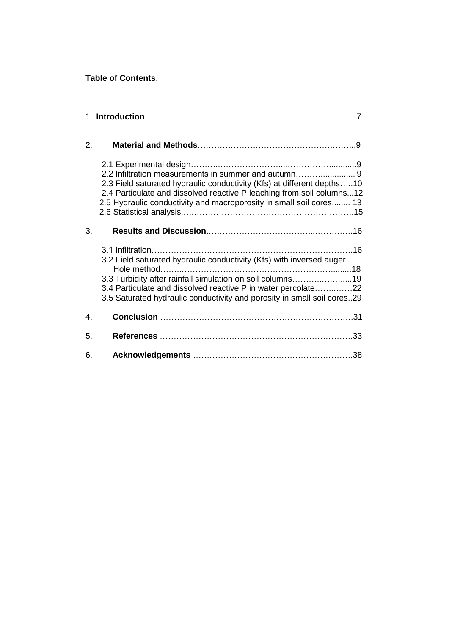### **Table of Contents**.

| 2.             |                                                                                                                                                                                                                                                                                |
|----------------|--------------------------------------------------------------------------------------------------------------------------------------------------------------------------------------------------------------------------------------------------------------------------------|
|                | 2.2 Infiltration measurements in summer and autumn 9<br>2.3 Field saturated hydraulic conductivity (Kfs) at different depths10<br>2.4 Particulate and dissolved reactive P leaching from soil columns12<br>2.5 Hydraulic conductivity and macroporosity in small soil cores 13 |
| 3.             |                                                                                                                                                                                                                                                                                |
|                | 3.2 Field saturated hydraulic conductivity (Kfs) with inversed auger<br>3.3 Turbidity after rainfall simulation on soil columns19<br>3.4 Particulate and dissolved reactive P in water percolate22<br>3.5 Saturated hydraulic conductivity and porosity in small soil cores29  |
| $\mathbf{4}$ . |                                                                                                                                                                                                                                                                                |
| 5.             |                                                                                                                                                                                                                                                                                |
| 6.             |                                                                                                                                                                                                                                                                                |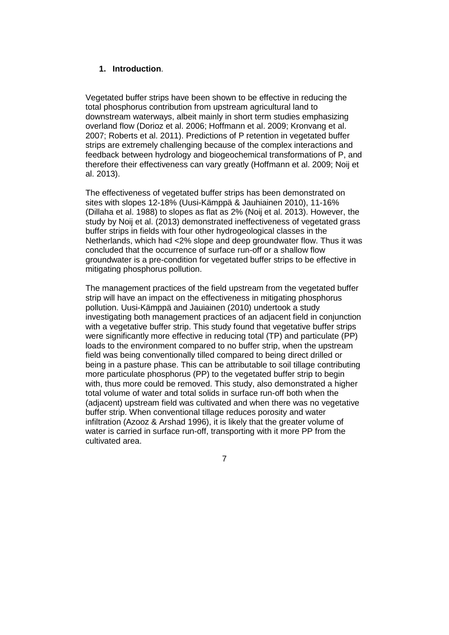#### **1. Introduction**.

Vegetated buffer strips have been shown to be effective in reducing the total phosphorus contribution from upstream agricultural land to downstream waterways, albeit mainly in short term studies emphasizing overland flow (Dorioz et al. 2006; Hoffmann et al. 2009; Kronvang et al. 2007; Roberts et al. 2011). Predictions of P retention in vegetated buffer strips are extremely challenging because of the complex interactions and feedback between hydrology and biogeochemical transformations of P, and therefore their effectiveness can vary greatly (Hoffmann et al. 2009; Noij et al. 2013).

The effectiveness of vegetated buffer strips has been demonstrated on sites with slopes 12-18% (Uusi-Kämppä & Jauhiainen 2010), 11-16% (Dillaha et al. 1988) to slopes as flat as 2% (Noij et al. 2013). However, the study by Noij et al. (2013) demonstrated ineffectiveness of vegetated grass buffer strips in fields with four other hydrogeological classes in the Netherlands, which had <2% slope and deep groundwater flow. Thus it was concluded that the occurrence of surface run-off or a shallow flow groundwater is a pre-condition for vegetated buffer strips to be effective in mitigating phosphorus pollution.

The management practices of the field upstream from the vegetated buffer strip will have an impact on the effectiveness in mitigating phosphorus pollution. Uusi-Kämppä and Jauiainen (2010) undertook a study investigating both management practices of an adjacent field in conjunction with a vegetative buffer strip. This study found that vegetative buffer strips were significantly more effective in reducing total (TP) and particulate (PP) loads to the environment compared to no buffer strip, when the upstream field was being conventionally tilled compared to being direct drilled or being in a pasture phase. This can be attributable to soil tillage contributing more particulate phosphorus (PP) to the vegetated buffer strip to begin with, thus more could be removed. This study, also demonstrated a higher total volume of water and total solids in surface run-off both when the (adjacent) upstream field was cultivated and when there was no vegetative buffer strip. When conventional tillage reduces porosity and water infiltration (Azooz & Arshad 1996), it is likely that the greater volume of water is carried in surface run-off, transporting with it more PP from the cultivated area.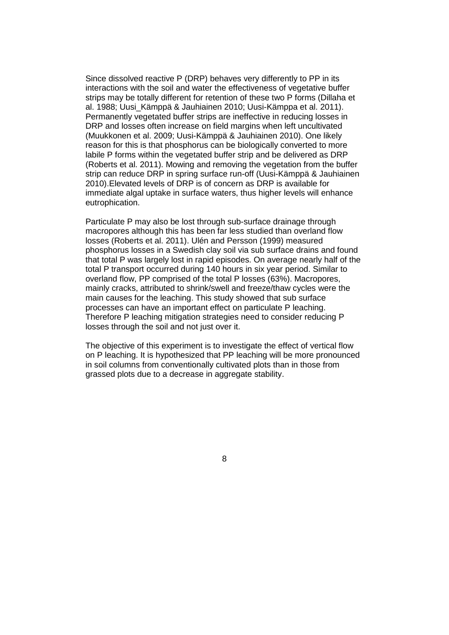Since dissolved reactive P (DRP) behaves very differently to PP in its interactions with the soil and water the effectiveness of vegetative buffer strips may be totally different for retention of these two P forms (Dillaha et al. 1988; Uusi\_Kämppä & Jauhiainen 2010; Uusi-Kämppa et al. 2011). Permanently vegetated buffer strips are ineffective in reducing losses in DRP and losses often increase on field margins when left uncultivated (Muukkonen et al. 2009; Uusi-Kämppä & Jauhiainen 2010). One likely reason for this is that phosphorus can be biologically converted to more labile P forms within the vegetated buffer strip and be delivered as DRP (Roberts et al. 2011). Mowing and removing the vegetation from the buffer strip can reduce DRP in spring surface run-off (Uusi-Kämppä & Jauhiainen 2010).Elevated levels of DRP is of concern as DRP is available for immediate algal uptake in surface waters, thus higher levels will enhance eutrophication.

Particulate P may also be lost through sub-surface drainage through macropores although this has been far less studied than overland flow losses (Roberts et al. 2011). Ulén and Persson (1999) measured phosphorus losses in a Swedish clay soil via sub surface drains and found that total P was largely lost in rapid episodes. On average nearly half of the total P transport occurred during 140 hours in six year period. Similar to overland flow, PP comprised of the total P losses (63%). Macropores, mainly cracks, attributed to shrink/swell and freeze/thaw cycles were the main causes for the leaching. This study showed that sub surface processes can have an important effect on particulate P leaching. Therefore P leaching mitigation strategies need to consider reducing P losses through the soil and not just over it.

The objective of this experiment is to investigate the effect of vertical flow on P leaching. It is hypothesized that PP leaching will be more pronounced in soil columns from conventionally cultivated plots than in those from grassed plots due to a decrease in aggregate stability.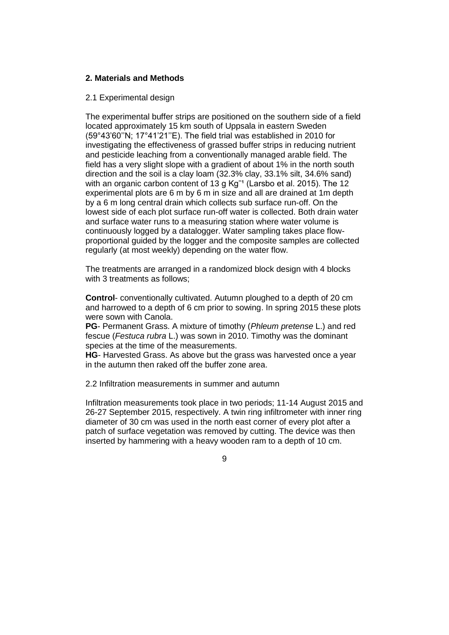#### **2. Materials and Methods**

#### 2.1 Experimental design

The experimental buffer strips are positioned on the southern side of a field located approximately 15 km south of Uppsala in eastern Sweden (59°43'60''N; 17°41'21''E). The field trial was established in 2010 for investigating the effectiveness of grassed buffer strips in reducing nutrient and pesticide leaching from a conventionally managed arable field. The field has a very slight slope with a gradient of about 1% in the north south direction and the soil is a clay loam (32.3% clay, 33.1% silt, 34.6% sand) with an organic carbon content of 13 g  $\text{Kg}^{-1}$  (Larsbo et al. 2015). The 12 experimental plots are 6 m by 6 m in size and all are drained at 1m depth by a 6 m long central drain which collects sub surface run-off. On the lowest side of each plot surface run-off water is collected. Both drain water and surface water runs to a measuring station where water volume is continuously logged by a datalogger. Water sampling takes place flowproportional guided by the logger and the composite samples are collected regularly (at most weekly) depending on the water flow.

The treatments are arranged in a randomized block design with 4 blocks with 3 treatments as follows;

**Control**- conventionally cultivated. Autumn ploughed to a depth of 20 cm and harrowed to a depth of 6 cm prior to sowing. In spring 2015 these plots were sown with Canola.

**PG**- Permanent Grass. A mixture of timothy (*Phleum pretense* L.) and red fescue (*Festuca rubra* L.) was sown in 2010. Timothy was the dominant species at the time of the measurements.

**HG**- Harvested Grass. As above but the grass was harvested once a year in the autumn then raked off the buffer zone area.

2.2 Infiltration measurements in summer and autumn

Infiltration measurements took place in two periods; 11-14 August 2015 and 26-27 September 2015, respectively. A twin ring infiltrometer with inner ring diameter of 30 cm was used in the north east corner of every plot after a patch of surface vegetation was removed by cutting. The device was then inserted by hammering with a heavy wooden ram to a depth of 10 cm.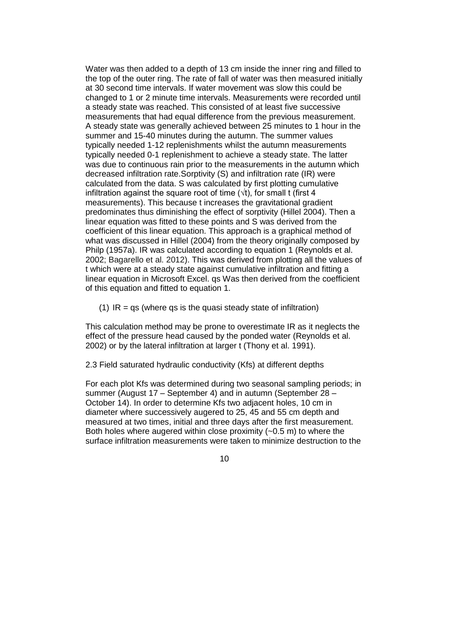Water was then added to a depth of 13 cm inside the inner ring and filled to the top of the outer ring. The rate of fall of water was then measured initially at 30 second time intervals. If water movement was slow this could be changed to 1 or 2 minute time intervals. Measurements were recorded until a steady state was reached. This consisted of at least five successive measurements that had equal difference from the previous measurement. A steady state was generally achieved between 25 minutes to 1 hour in the summer and 15-40 minutes during the autumn. The summer values typically needed 1-12 replenishments whilst the autumn measurements typically needed 0-1 replenishment to achieve a steady state. The latter was due to continuous rain prior to the measurements in the autumn which decreased infiltration rate.Sorptivity (S) and infiltration rate (IR) were calculated from the data. S was calculated by first plotting cumulative infiltration against the square root of time  $(\forall t)$ , for small t (first 4 measurements). This because t increases the gravitational gradient predominates thus diminishing the effect of sorptivity (Hillel 2004). Then a linear equation was fitted to these points and S was derived from the coefficient of this linear equation. This approach is a graphical method of what was discussed in Hillel (2004) from the theory originally composed by Philp (1957a). IR was calculated according to equation 1 (Reynolds et al. 2002; Bagarello et al. 2012). This was derived from plotting all the values of t which were at a steady state against cumulative infiltration and fitting a linear equation in Microsoft Excel. qs Was then derived from the coefficient of this equation and fitted to equation 1.

(1)  $IR = qs$  (where qs is the quasi steady state of infiltration)

This calculation method may be prone to overestimate IR as it neglects the effect of the pressure head caused by the ponded water (Reynolds et al. 2002) or by the lateral infiltration at larger t (Thony et al. 1991).

2.3 Field saturated hydraulic conductivity (Kfs) at different depths

For each plot Kfs was determined during two seasonal sampling periods; in summer (August 17 – September 4) and in autumn (September 28 – October 14). In order to determine Kfs two adjacent holes, 10 cm in diameter where successively augered to 25, 45 and 55 cm depth and measured at two times, initial and three days after the first measurement. Both holes where augered within close proximity  $(-0.5 \text{ m})$  to where the surface infiltration measurements were taken to minimize destruction to the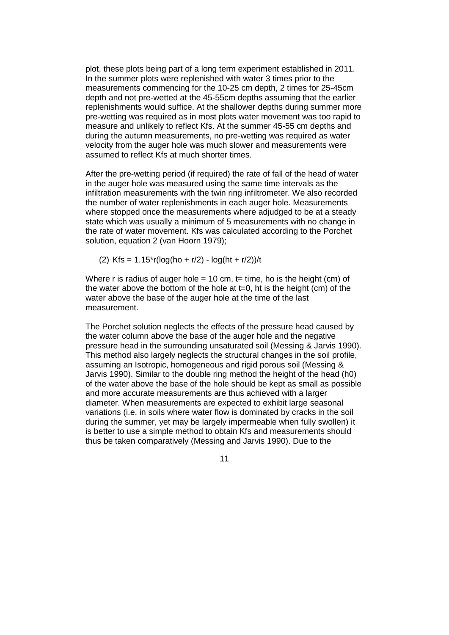plot, these plots being part of a long term experiment established in 2011. In the summer plots were replenished with water 3 times prior to the measurements commencing for the 10-25 cm depth, 2 times for 25-45cm depth and not pre-wetted at the 45-55cm depths assuming that the earlier replenishments would suffice. At the shallower depths during summer more pre-wetting was required as in most plots water movement was too rapid to measure and unlikely to reflect Kfs. At the summer 45-55 cm depths and during the autumn measurements, no pre-wetting was required as water velocity from the auger hole was much slower and measurements were assumed to reflect Kfs at much shorter times.

After the pre-wetting period (if required) the rate of fall of the head of water in the auger hole was measured using the same time intervals as the infiltration measurements with the twin ring infiltrometer. We also recorded the number of water replenishments in each auger hole. Measurements where stopped once the measurements where adjudged to be at a steady state which was usually a minimum of 5 measurements with no change in the rate of water movement. Kfs was calculated according to the Porchet solution, equation 2 (van Hoorn 1979);

(2) Kfs =  $1.15^{*}r(\log(\text{ho} + r/2) - \log(\text{ht} + r/2))/t$ 

Where r is radius of auger hole = 10 cm,  $t =$  time, ho is the height (cm) of the water above the bottom of the hole at  $t=0$ , ht is the height (cm) of the water above the base of the auger hole at the time of the last measurement.

The Porchet solution neglects the effects of the pressure head caused by the water column above the base of the auger hole and the negative pressure head in the surrounding unsaturated soil (Messing & Jarvis 1990). This method also largely neglects the structural changes in the soil profile, assuming an Isotropic, homogeneous and rigid porous soil (Messing & Jarvis 1990). Similar to the double ring method the height of the head (h0) of the water above the base of the hole should be kept as small as possible and more accurate measurements are thus achieved with a larger diameter. When measurements are expected to exhibit large seasonal variations (i.e. in soils where water flow is dominated by cracks in the soil during the summer, yet may be largely impermeable when fully swollen) it is better to use a simple method to obtain Kfs and measurements should thus be taken comparatively (Messing and Jarvis 1990). Due to the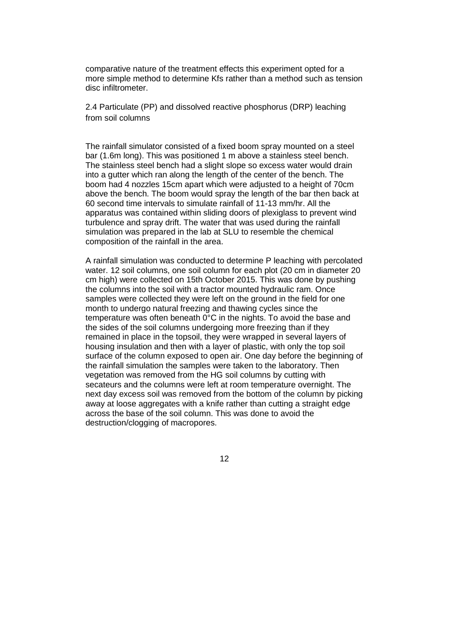comparative nature of the treatment effects this experiment opted for a more simple method to determine Kfs rather than a method such as tension disc infiltrometer.

2.4 Particulate (PP) and dissolved reactive phosphorus (DRP) leaching from soil columns

The rainfall simulator consisted of a fixed boom spray mounted on a steel bar (1.6m long). This was positioned 1 m above a stainless steel bench. The stainless steel bench had a slight slope so excess water would drain into a gutter which ran along the length of the center of the bench. The boom had 4 nozzles 15cm apart which were adjusted to a height of 70cm above the bench. The boom would spray the length of the bar then back at 60 second time intervals to simulate rainfall of 11-13 mm/hr. All the apparatus was contained within sliding doors of plexiglass to prevent wind turbulence and spray drift. The water that was used during the rainfall simulation was prepared in the lab at SLU to resemble the chemical composition of the rainfall in the area.

A rainfall simulation was conducted to determine P leaching with percolated water. 12 soil columns, one soil column for each plot (20 cm in diameter 20 cm high) were collected on 15th October 2015. This was done by pushing the columns into the soil with a tractor mounted hydraulic ram. Once samples were collected they were left on the ground in the field for one month to undergo natural freezing and thawing cycles since the temperature was often beneath 0°C in the nights. To avoid the base and the sides of the soil columns undergoing more freezing than if they remained in place in the topsoil, they were wrapped in several layers of housing insulation and then with a layer of plastic, with only the top soil surface of the column exposed to open air. One day before the beginning of the rainfall simulation the samples were taken to the laboratory. Then vegetation was removed from the HG soil columns by cutting with secateurs and the columns were left at room temperature overnight. The next day excess soil was removed from the bottom of the column by picking away at loose aggregates with a knife rather than cutting a straight edge across the base of the soil column. This was done to avoid the destruction/clogging of macropores.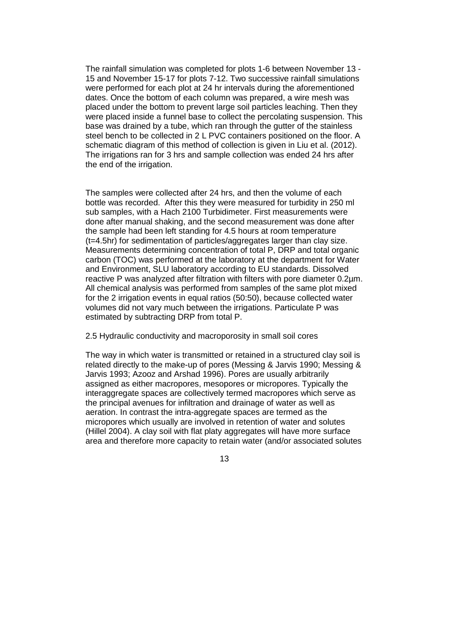The rainfall simulation was completed for plots 1-6 between November 13 - 15 and November 15-17 for plots 7-12. Two successive rainfall simulations were performed for each plot at 24 hr intervals during the aforementioned dates. Once the bottom of each column was prepared, a wire mesh was placed under the bottom to prevent large soil particles leaching. Then they were placed inside a funnel base to collect the percolating suspension. This base was drained by a tube, which ran through the gutter of the stainless steel bench to be collected in 2 L PVC containers positioned on the floor. A schematic diagram of this method of collection is given in Liu et al. (2012). The irrigations ran for 3 hrs and sample collection was ended 24 hrs after the end of the irrigation.

The samples were collected after 24 hrs, and then the volume of each bottle was recorded. After this they were measured for turbidity in 250 ml sub samples, with a Hach 2100 Turbidimeter. First measurements were done after manual shaking, and the second measurement was done after the sample had been left standing for 4.5 hours at room temperature (t=4.5hr) for sedimentation of particles/aggregates larger than clay size. Measurements determining concentration of total P, DRP and total organic carbon (TOC) was performed at the laboratory at the department for Water and Environment, SLU laboratory according to EU standards. Dissolved reactive P was analyzed after filtration with filters with pore diameter 0.2µm. All chemical analysis was performed from samples of the same plot mixed for the 2 irrigation events in equal ratios (50:50), because collected water volumes did not vary much between the irrigations. Particulate P was estimated by subtracting DRP from total P.

2.5 Hydraulic conductivity and macroporosity in small soil cores

The way in which water is transmitted or retained in a structured clay soil is related directly to the make-up of pores (Messing & Jarvis 1990; Messing & Jarvis 1993; Azooz and Arshad 1996). Pores are usually arbitrarily assigned as either macropores, mesopores or micropores. Typically the interaggregate spaces are collectively termed macropores which serve as the principal avenues for infiltration and drainage of water as well as aeration. In contrast the intra-aggregate spaces are termed as the micropores which usually are involved in retention of water and solutes (Hillel 2004). A clay soil with flat platy aggregates will have more surface area and therefore more capacity to retain water (and/or associated solutes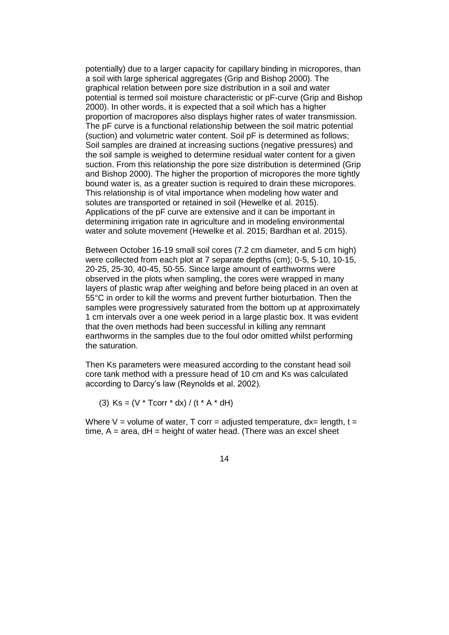potentially) due to a larger capacity for capillary binding in micropores, than a soil with large spherical aggregates (Grip and Bishop 2000). The graphical relation between pore size distribution in a soil and water potential is termed soil moisture characteristic or pF-curve (Grip and Bishop 2000). In other words, it is expected that a soil which has a higher proportion of macropores also displays higher rates of water transmission. The pF curve is a functional relationship between the soil matric potential (suction) and volumetric water content. Soil pF is determined as follows; Soil samples are drained at increasing suctions (negative pressures) and the soil sample is weighed to determine residual water content for a given suction. From this relationship the pore size distribution is determined (Grip and Bishop 2000). The higher the proportion of micropores the more tightly bound water is, as a greater suction is required to drain these micropores. This relationship is of vital importance when modeling how water and solutes are transported or retained in soil (Hewelke et al. 2015). Applications of the pF curve are extensive and it can be important in determining irrigation rate in agriculture and in modeling environmental water and solute movement (Hewelke et al. 2015; Bardhan et al. 2015).

Between October 16-19 small soil cores (7.2 cm diameter, and 5 cm high) were collected from each plot at 7 separate depths (cm); 0-5, 5-10, 10-15, 20-25, 25-30, 40-45, 50-55. Since large amount of earthworms were observed in the plots when sampling, the cores were wrapped in many layers of plastic wrap after weighing and before being placed in an oven at 55°C in order to kill the worms and prevent further bioturbation. Then the samples were progressively saturated from the bottom up at approximately 1 cm intervals over a one week period in a large plastic box. It was evident that the oven methods had been successful in killing any remnant earthworms in the samples due to the foul odor omitted whilst performing the saturation.

Then Ks parameters were measured according to the constant head soil core tank method with a pressure head of 10 cm and Ks was calculated according to Darcy's law (Reynolds et al. 2002).

(3)  $\text{Ks} = (\text{V} * \text{Teorr} * \text{dx}) / (\text{t} * \text{A} * \text{dH})$ 

Where V = volume of water, T corr = adjusted temperature,  $dx =$  length,  $t =$ time,  $A = area$ ,  $dH = height$  of water head. (There was an excel sheet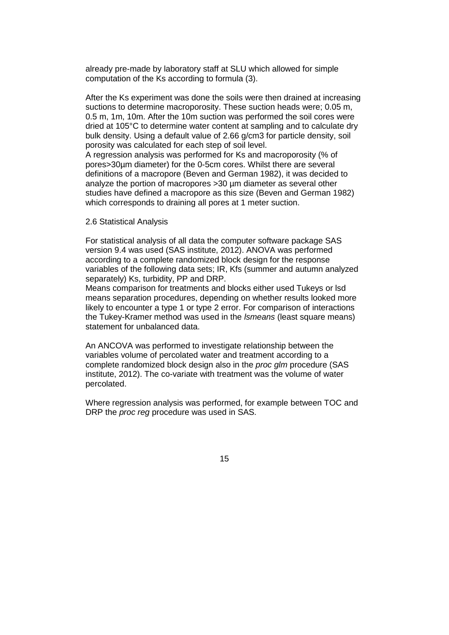already pre-made by laboratory staff at SLU which allowed for simple computation of the Ks according to formula (3).

After the Ks experiment was done the soils were then drained at increasing suctions to determine macroporosity. These suction heads were; 0.05 m, 0.5 m, 1m, 10m. After the 10m suction was performed the soil cores were dried at 105°C to determine water content at sampling and to calculate dry bulk density. Using a default value of 2.66 g/cm3 for particle density, soil porosity was calculated for each step of soil level.

A regression analysis was performed for Ks and macroporosity (% of pores>30µm diameter) for the 0-5cm cores. Whilst there are several definitions of a macropore (Beven and German 1982), it was decided to analyze the portion of macropores >30 µm diameter as several other studies have defined a macropore as this size (Beven and German 1982) which corresponds to draining all pores at 1 meter suction.

#### 2.6 Statistical Analysis

For statistical analysis of all data the computer software package SAS version 9.4 was used (SAS institute, 2012). ANOVA was performed according to a complete randomized block design for the response variables of the following data sets; IR, Kfs (summer and autumn analyzed separately) Ks, turbidity, PP and DRP.

Means comparison for treatments and blocks either used Tukeys or lsd means separation procedures, depending on whether results looked more likely to encounter a type 1 or type 2 error. For comparison of interactions the Tukey-Kramer method was used in the *lsmeans* (least square means) statement for unbalanced data.

An ANCOVA was performed to investigate relationship between the variables volume of percolated water and treatment according to a complete randomized block design also in the *proc glm* procedure (SAS institute, 2012). The co-variate with treatment was the volume of water percolated.

Where regression analysis was performed, for example between TOC and DRP the *proc reg* procedure was used in SAS.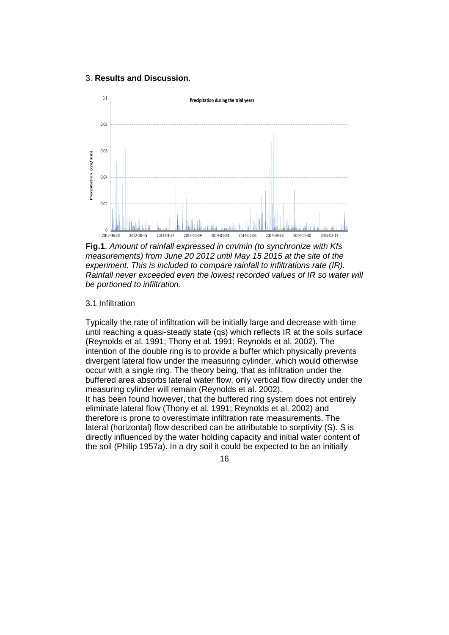#### 3. **Results and Discussion**.



**Fig.1**. *Amount of rainfall expressed in cm/min (to synchronize with Kfs measurements) from June 20 2012 until May 15 2015 at the site of the experiment. This is included to compare rainfall to infiltrations rate (IR). Rainfall never exceeded even the lowest recorded values of IR so water will be portioned to infiltration.*

#### 3.1 Infiltration

Typically the rate of infiltration will be initially large and decrease with time until reaching a quasi-steady state (qs) which reflects IR at the soils surface (Reynolds et al. 1991; Thony et al. 1991; Reynolds et al. 2002). The intention of the double ring is to provide a buffer which physically prevents divergent lateral flow under the measuring cylinder, which would otherwise occur with a single ring. The theory being, that as infiltration under the buffered area absorbs lateral water flow, only vertical flow directly under the measuring cylinder will remain (Reynolds et al. 2002). It has been found however, that the buffered ring system does not entirely eliminate lateral flow (Thony et al. 1991; Reynolds et al. 2002) and therefore is prone to overestimate infiltration rate measurements. The lateral (horizontal) flow described can be attributable to sorptivity (S). S is directly influenced by the water holding capacity and initial water content of the soil (Philip 1957a). In a dry soil it could be expected to be an initially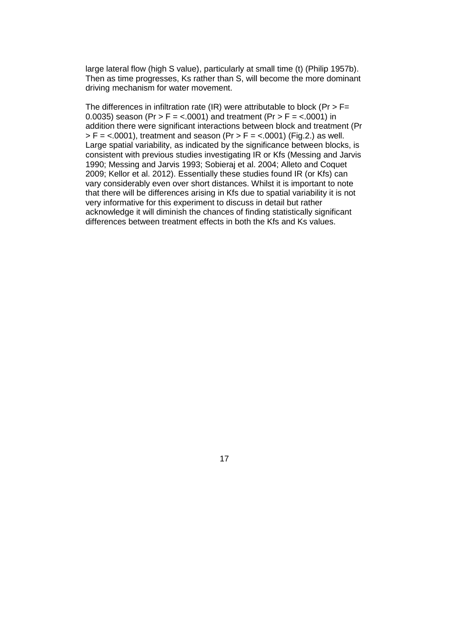large lateral flow (high S value), particularly at small time (t) (Philip 1957b). Then as time progresses, Ks rather than S, will become the more dominant driving mechanism for water movement.

The differences in infiltration rate (IR) were attributable to block (Pr >  $F=$ 0.0035) season (Pr > F = <.0001) and treatment (Pr > F = <.0001) in addition there were significant interactions between block and treatment (Pr  $> F =$  <.0001), treatment and season (Pr  $> F =$  <.0001) (Fig.2.) as well. Large spatial variability, as indicated by the significance between blocks, is consistent with previous studies investigating IR or Kfs (Messing and Jarvis 1990; Messing and Jarvis 1993; Sobieraj et al. 2004; Alleto and Coquet 2009; Kellor et al. 2012). Essentially these studies found IR (or Kfs) can vary considerably even over short distances. Whilst it is important to note that there will be differences arising in Kfs due to spatial variability it is not very informative for this experiment to discuss in detail but rather acknowledge it will diminish the chances of finding statistically significant differences between treatment effects in both the Kfs and Ks values.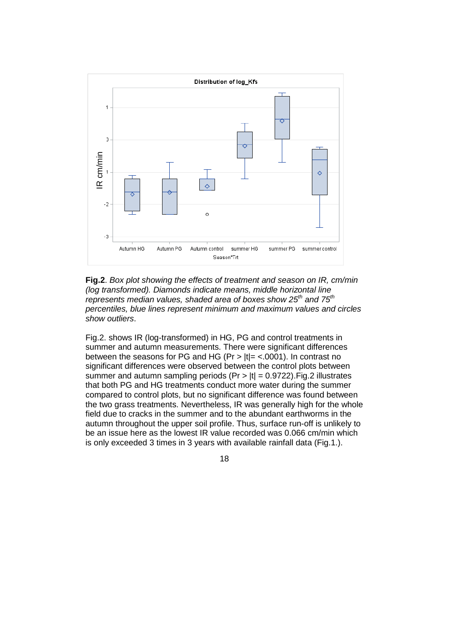

**Fig.2**. *Box plot showing the effects of treatment and season on IR, cm/min (log transformed). Diamonds indicate means, middle horizontal line represents median values, shaded area of boxes show 25th and 75th percentiles, blue lines represent minimum and maximum values and circles show outliers*.

Fig.2. shows IR (log-transformed) in HG, PG and control treatments in summer and autumn measurements. There were significant differences between the seasons for PG and HG (Pr >  $|t|$  = <.0001). In contrast no significant differences were observed between the control plots between summer and autumn sampling periods ( $Pr$  >  $|t|$  = 0.9722). Fig. 2 illustrates that both PG and HG treatments conduct more water during the summer compared to control plots, but no significant difference was found between the two grass treatments. Nevertheless, IR was generally high for the whole field due to cracks in the summer and to the abundant earthworms in the autumn throughout the upper soil profile. Thus, surface run-off is unlikely to be an issue here as the lowest IR value recorded was 0.066 cm/min which

18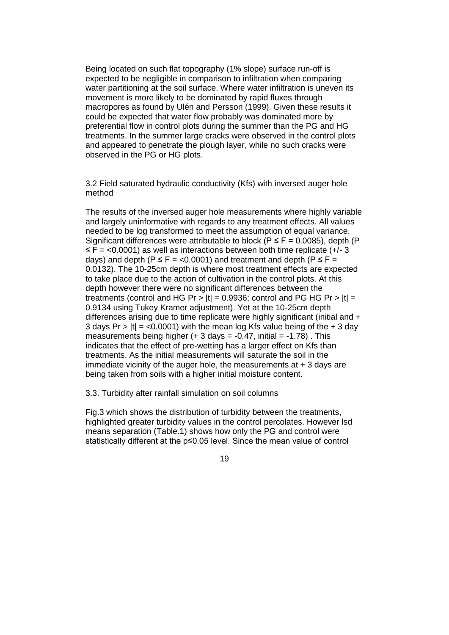Being located on such flat topography (1% slope) surface run-off is expected to be negligible in comparison to infiltration when comparing water partitioning at the soil surface. Where water infiltration is uneven its movement is more likely to be dominated by rapid fluxes through macropores as found by Ulén and Persson (1999). Given these results it could be expected that water flow probably was dominated more by preferential flow in control plots during the summer than the PG and HG treatments. In the summer large cracks were observed in the control plots and appeared to penetrate the plough layer, while no such cracks were observed in the PG or HG plots.

3.2 Field saturated hydraulic conductivity (Kfs) with inversed auger hole method

The results of the inversed auger hole measurements where highly variable and largely uninformative with regards to any treatment effects. All values needed to be log transformed to meet the assumption of equal variance. Significant differences were attributable to block ( $P \le F = 0.0085$ ), depth (P  $\leq$  F = <0.0001) as well as interactions between both time replicate (+/- 3 days) and depth ( $P \le F = \langle 0.0001 \rangle$  and treatment and depth ( $P \le F =$ 0.0132). The 10-25cm depth is where most treatment effects are expected to take place due to the action of cultivation in the control plots. At this depth however there were no significant differences between the treatments (control and HG Pr >  $|t|$  = 0.9936; control and PG HG Pr >  $|t|$  = 0.9134 using Tukey Kramer adjustment). Yet at the 10-25cm depth differences arising due to time replicate were highly significant (initial and + 3 days  $Pr > |t| = <0.0001$ ) with the mean log Kfs value being of the  $+ 3$  day measurements being higher  $(+ 3 \text{ days} = -0.47$ , initial  $= -1.78$ ). This indicates that the effect of pre-wetting has a larger effect on Kfs than treatments. As the initial measurements will saturate the soil in the immediate vicinity of the auger hole, the measurements at + 3 days are being taken from soils with a higher initial moisture content.

3.3. Turbidity after rainfall simulation on soil columns

Fig.3 which shows the distribution of turbidity between the treatments, highlighted greater turbidity values in the control percolates. However lsd means separation (Table.1) shows how only the PG and control were statistically different at the p≤0.05 level. Since the mean value of control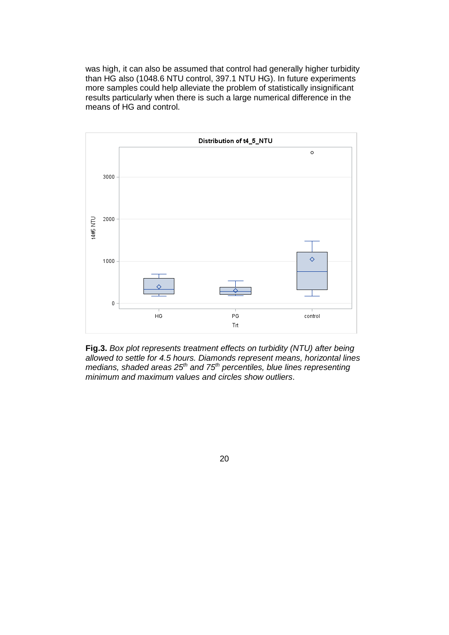was high, it can also be assumed that control had generally higher turbidity than HG also (1048.6 NTU control, 397.1 NTU HG). In future experiments more samples could help alleviate the problem of statistically insignificant results particularly when there is such a large numerical difference in the means of HG and control.



**Fig.3.** *Box plot represents treatment effects on turbidity (NTU) after being allowed to settle for 4.5 hours. Diamonds represent means, horizontal lines medians, shaded areas 25th and 75th percentiles, blue lines representing minimum and maximum values and circles show outliers*.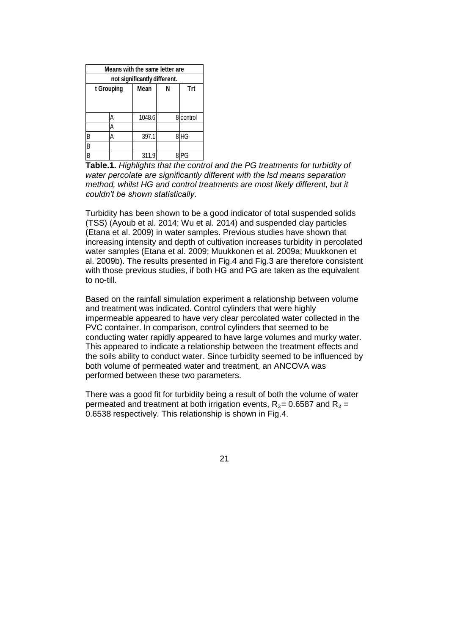|                              | Means with the same letter are |      |        |     |           |  |  |  |
|------------------------------|--------------------------------|------|--------|-----|-----------|--|--|--|
| not significantly different. |                                |      |        |     |           |  |  |  |
| t Grouping                   |                                | Mean | N      | Trt |           |  |  |  |
|                              |                                |      |        |     |           |  |  |  |
|                              |                                |      |        |     |           |  |  |  |
|                              |                                | А    | 1048.6 |     | 8 control |  |  |  |
|                              |                                | А    |        |     |           |  |  |  |
| B                            |                                | А    | 397.1  | 8   | <b>HG</b> |  |  |  |
| $\overline{B}$               |                                |      |        |     |           |  |  |  |
| $\overline{B}$               |                                |      | 311.9  |     | ና         |  |  |  |

**Table.1.** *Highlights that the control and the PG treatments for turbidity of water percolate are significantly different with the lsd means separation method, whilst HG and control treatments are most likely different, but it couldn't be shown statistically*.

Turbidity has been shown to be a good indicator of total suspended solids (TSS) (Ayoub et al. 2014; Wu et al. 2014) and suspended clay particles (Etana et al. 2009) in water samples. Previous studies have shown that increasing intensity and depth of cultivation increases turbidity in percolated water samples (Etana et al. 2009; Muukkonen et al. 2009a; Muukkonen et al. 2009b). The results presented in Fig.4 and Fig.3 are therefore consistent with those previous studies, if both HG and PG are taken as the equivalent to no-till.

Based on the rainfall simulation experiment a relationship between volume and treatment was indicated. Control cylinders that were highly impermeable appeared to have very clear percolated water collected in the PVC container. In comparison, control cylinders that seemed to be conducting water rapidly appeared to have large volumes and murky water. This appeared to indicate a relationship between the treatment effects and the soils ability to conduct water. Since turbidity seemed to be influenced by both volume of permeated water and treatment, an ANCOVA was performed between these two parameters.

There was a good fit for turbidity being a result of both the volume of water permeated and treatment at both irrigation events,  $R_2$ = 0.6587 and  $R_2$  = 0.6538 respectively. This relationship is shown in Fig.4.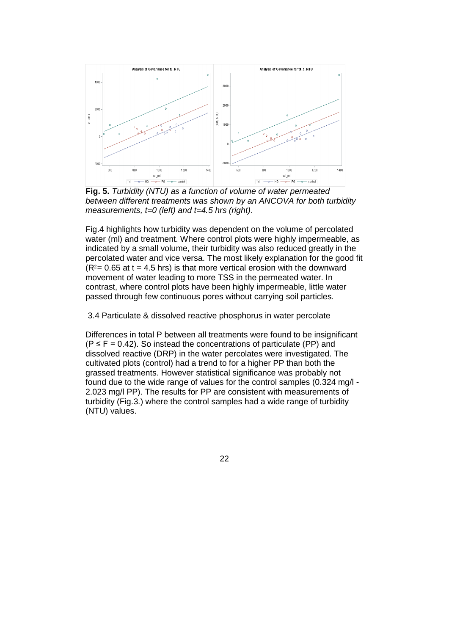

**Fig. 5.** *Turbidity (NTU) as a function of volume of water permeated between different treatments was shown by an ANCOVA for both turbidity measurements, t=0 (left) and t=4.5 hrs (right)*.

Fig.4 highlights how turbidity was dependent on the volume of percolated water (ml) and treatment. Where control plots were highly impermeable, as indicated by a small volume, their turbidity was also reduced greatly in the percolated water and vice versa. The most likely explanation for the good fit  $(R<sup>2</sup>= 0.65$  at t = 4.5 hrs) is that more vertical erosion with the downward movement of water leading to more TSS in the permeated water. In contrast, where control plots have been highly impermeable, little water passed through few continuous pores without carrying soil particles.

3.4 Particulate & dissolved reactive phosphorus in water percolate

Differences in total P between all treatments were found to be insignificant  $(P \le F = 0.42)$ . So instead the concentrations of particulate (PP) and dissolved reactive (DRP) in the water percolates were investigated. The cultivated plots (control) had a trend to for a higher PP than both the grassed treatments. However statistical significance was probably not found due to the wide range of values for the control samples (0.324 mg/l - 2.023 mg/l PP). The results for PP are consistent with measurements of turbidity (Fig.3.) where the control samples had a wide range of turbidity (NTU) values.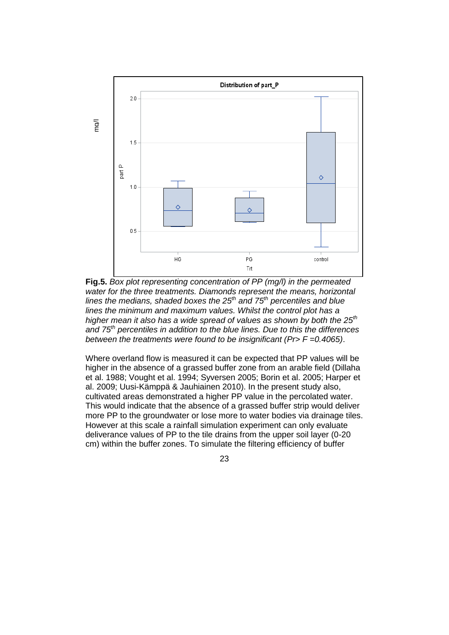

**Fig.5.** *Box plot representing concentration of PP (mg/l) in the permeated water for the three treatments. Diamonds represent the means, horizontal lines the medians, shaded boxes the 25th and 75th percentiles and blue lines the minimum and maximum values. Whilst the control plot has a higher mean it also has a wide spread of values as shown by both the 25th and 75th percentiles in addition to the blue lines. Due to this the differences between the treatments were found to be insignificant (Pr> F =0.4065)*.

Where overland flow is measured it can be expected that PP values will be higher in the absence of a grassed buffer zone from an arable field (Dillaha et al. 1988; Vought et al. 1994; Syversen 2005; Borin et al. 2005; Harper et al. 2009; Uusi-Kämppä & Jauhiainen 2010). In the present study also, cultivated areas demonstrated a higher PP value in the percolated water. This would indicate that the absence of a grassed buffer strip would deliver more PP to the groundwater or lose more to water bodies via drainage tiles. However at this scale a rainfall simulation experiment can only evaluate deliverance values of PP to the tile drains from the upper soil layer (0-20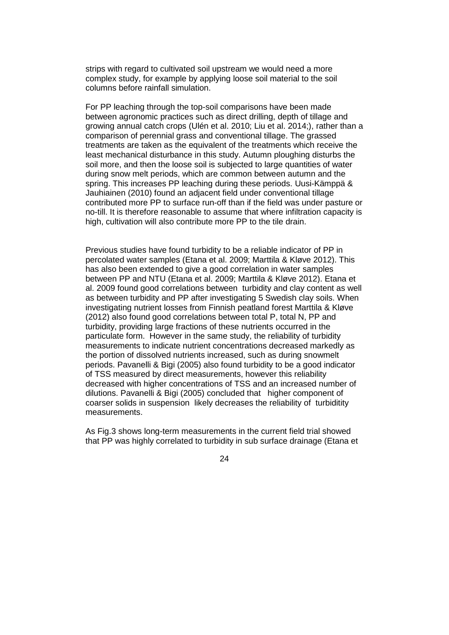strips with regard to cultivated soil upstream we would need a more complex study, for example by applying loose soil material to the soil columns before rainfall simulation.

For PP leaching through the top-soil comparisons have been made between agronomic practices such as direct drilling, depth of tillage and growing annual catch crops (Ulén et al. 2010; Liu et al. 2014;), rather than a comparison of perennial grass and conventional tillage. The grassed treatments are taken as the equivalent of the treatments which receive the least mechanical disturbance in this study. Autumn ploughing disturbs the soil more, and then the loose soil is subjected to large quantities of water during snow melt periods, which are common between autumn and the spring. This increases PP leaching during these periods. Uusi-Kämppä & Jauhiainen (2010) found an adjacent field under conventional tillage contributed more PP to surface run-off than if the field was under pasture or no-till. It is therefore reasonable to assume that where infiltration capacity is high, cultivation will also contribute more PP to the tile drain.

Previous studies have found turbidity to be a reliable indicator of PP in percolated water samples (Etana et al. 2009; Marttila & Kløve 2012). This has also been extended to give a good correlation in water samples between PP and NTU (Etana et al. 2009; Marttila & Kløve 2012). Etana et al. 2009 found good correlations between turbidity and clay content as well as between turbidity and PP after investigating 5 Swedish clay soils. When investigating nutrient losses from Finnish peatland forest Marttila & Kløve (2012) also found good correlations between total P, total N, PP and turbidity, providing large fractions of these nutrients occurred in the particulate form. However in the same study, the reliability of turbidity measurements to indicate nutrient concentrations decreased markedly as the portion of dissolved nutrients increased, such as during snowmelt periods. Pavanelli & Bigi (2005) also found turbidity to be a good indicator of TSS measured by direct measurements, however this reliability decreased with higher concentrations of TSS and an increased number of dilutions. Pavanelli & Bigi (2005) concluded that higher component of coarser solids in suspension likely decreases the reliability of turbiditity measurements.

As Fig.3 shows long-term measurements in the current field trial showed that PP was highly correlated to turbidity in sub surface drainage (Etana et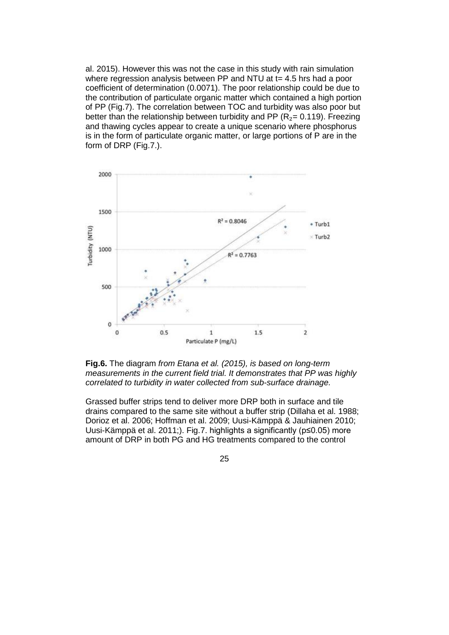al. 2015). However this was not the case in this study with rain simulation where regression analysis between PP and NTU at t= 4.5 hrs had a poor coefficient of determination (0.0071). The poor relationship could be due to the contribution of particulate organic matter which contained a high portion of PP (Fig.7). The correlation between TOC and turbidity was also poor but better than the relationship between turbidity and PP ( $R_2$ = 0.119). Freezing and thawing cycles appear to create a unique scenario where phosphorus is in the form of particulate organic matter, or large portions of P are in the form of DRP (Fig.7.).



**Fig.6.** The diagram *from Etana et al. (2015), is based on long-term measurements in the current field trial. It demonstrates that PP was highly correlated to turbidity in water collected from sub-surface drainage.*

Grassed buffer strips tend to deliver more DRP both in surface and tile drains compared to the same site without a buffer strip (Dillaha et al. 1988; Dorioz et al. 2006; Hoffman et al. 2009; Uusi-Kämppä & Jauhiainen 2010; Uusi-Kämppä et al. 2011;). Fig.7. highlights a significantly (p≤0.05) more amount of DRP in both PG and HG treatments compared to the control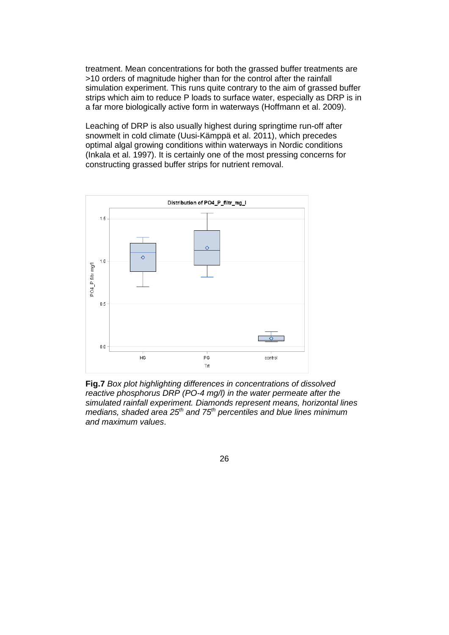treatment. Mean concentrations for both the grassed buffer treatments are >10 orders of magnitude higher than for the control after the rainfall simulation experiment. This runs quite contrary to the aim of grassed buffer strips which aim to reduce P loads to surface water, especially as DRP is in a far more biologically active form in waterways (Hoffmann et al. 2009).

Leaching of DRP is also usually highest during springtime run-off after snowmelt in cold climate (Uusi-Kämppä et al. 2011), which precedes optimal algal growing conditions within waterways in Nordic conditions (Inkala et al. 1997). It is certainly one of the most pressing concerns for constructing grassed buffer strips for nutrient removal.



**Fig.7** *Box plot highlighting differences in concentrations of dissolved reactive phosphorus DRP (PO-4 mg/l) in the water permeate after the simulated rainfall experiment. Diamonds represent means, horizontal lines medians, shaded area 25th and 75th percentiles and blue lines minimum and maximum values*.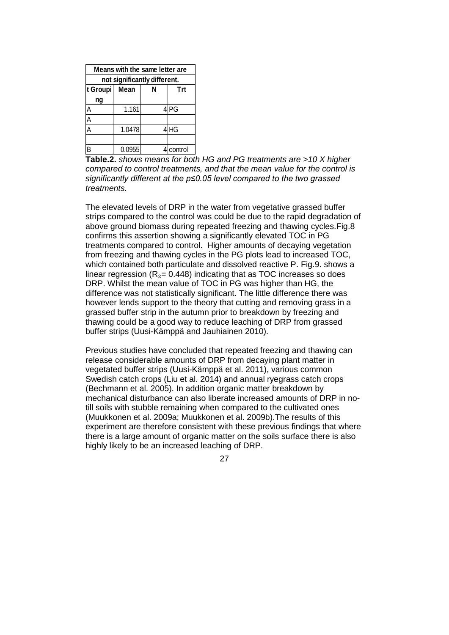| Means with the same letter are |        |   |                 |  |  |  |  |
|--------------------------------|--------|---|-----------------|--|--|--|--|
| not significantly different.   |        |   |                 |  |  |  |  |
| t Groupi                       | Mean   | N | Trt             |  |  |  |  |
| ng                             |        |   |                 |  |  |  |  |
|                                | 1.161  |   | 4 <sub>PG</sub> |  |  |  |  |
| A                              |        |   |                 |  |  |  |  |
| A                              | 1.0478 |   | 4 <sup>HG</sup> |  |  |  |  |
|                                |        |   |                 |  |  |  |  |
| B                              | 0.0955 |   | control         |  |  |  |  |

**Table.2.** *shows means for both HG and PG treatments are >10 X higher compared to control treatments, and that the mean value for the control is significantly different at the p≤0.05 level compared to the two grassed treatments.* 

The elevated levels of DRP in the water from vegetative grassed buffer strips compared to the control was could be due to the rapid degradation of above ground biomass during repeated freezing and thawing cycles.Fig.8 confirms this assertion showing a significantly elevated TOC in PG treatments compared to control. Higher amounts of decaying vegetation from freezing and thawing cycles in the PG plots lead to increased TOC, which contained both particulate and dissolved reactive P. Fig.9. shows a linear regression ( $R_2$ = 0.448) indicating that as TOC increases so does DRP. Whilst the mean value of TOC in PG was higher than HG, the difference was not statistically significant. The little difference there was however lends support to the theory that cutting and removing grass in a grassed buffer strip in the autumn prior to breakdown by freezing and thawing could be a good way to reduce leaching of DRP from grassed buffer strips (Uusi-Kämppä and Jauhiainen 2010).

Previous studies have concluded that repeated freezing and thawing can release considerable amounts of DRP from decaying plant matter in vegetated buffer strips (Uusi-Kämppä et al. 2011), various common Swedish catch crops (Liu et al. 2014) and annual ryegrass catch crops (Bechmann et al. 2005). In addition organic matter breakdown by mechanical disturbance can also liberate increased amounts of DRP in notill soils with stubble remaining when compared to the cultivated ones (Muukkonen et al. 2009a; Muukkonen et al. 2009b).The results of this experiment are therefore consistent with these previous findings that where there is a large amount of organic matter on the soils surface there is also highly likely to be an increased leaching of DRP.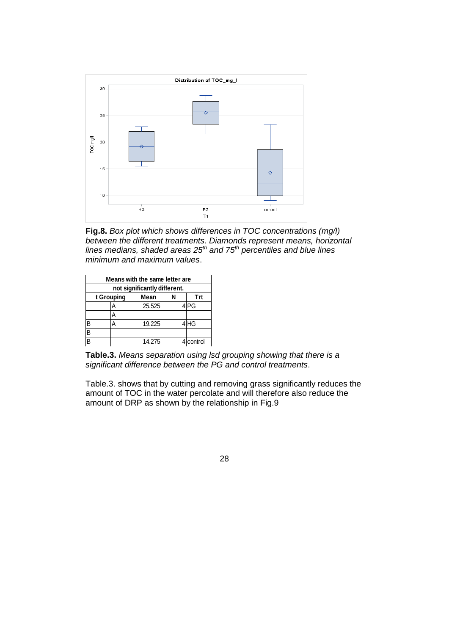

**Fig.8.** *Box plot which shows differences in TOC concentrations (mg/l) between the different treatments. Diamonds represent means, horizontal lines medians, shaded areas 25th and 75th percentiles and blue lines minimum and maximum values*.

| Means with the same letter are<br>not significantly different. |  |   |        |  |           |  |  |
|----------------------------------------------------------------|--|---|--------|--|-----------|--|--|
| t Grouping<br>Mean<br><b>Trt</b>                               |  |   |        |  |           |  |  |
|                                                                |  | A | 25.525 |  | ∶lPG      |  |  |
|                                                                |  | А |        |  |           |  |  |
| B                                                              |  | А | 19.225 |  | 4 HG      |  |  |
| $\overline{\mathsf{B}}$                                        |  |   |        |  |           |  |  |
| $\overline{B}$                                                 |  |   | 14.275 |  | 4 control |  |  |

**Table.3.** *Means separation using lsd grouping showing that there is a significant difference between the PG and control treatments*.

Table.3. shows that by cutting and removing grass significantly reduces the amount of TOC in the water percolate and will therefore also reduce the amount of DRP as shown by the relationship in Fig.9

28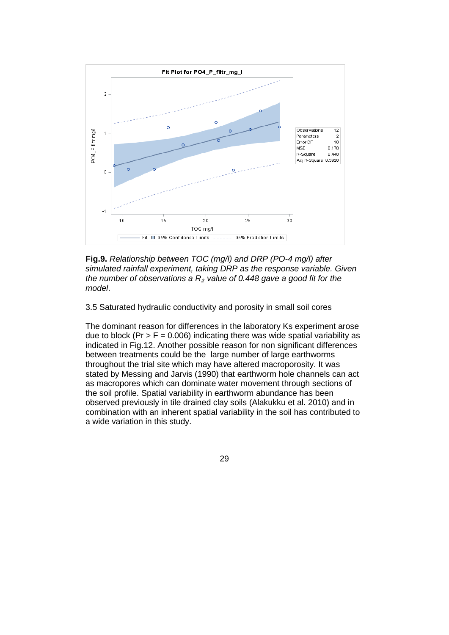

**Fig.9.** *Relationship between TOC (mg/l) and DRP (PO-4 mg/l) after simulated rainfall experiment, taking DRP as the response variable. Given the number of observations a R*<sup>₂</sup> *value of 0.448 gave a good fit for the model*.

3.5 Saturated hydraulic conductivity and porosity in small soil cores

The dominant reason for differences in the laboratory Ks experiment arose due to block (Pr  $>$  F = 0.006) indicating there was wide spatial variability as indicated in Fig.12. Another possible reason for non significant differences between treatments could be the large number of large earthworms throughout the trial site which may have altered macroporosity. It was stated by Messing and Jarvis (1990) that earthworm hole channels can act as macropores which can dominate water movement through sections of the soil profile. Spatial variability in earthworm abundance has been observed previously in tile drained clay soils (Alakukku et al. 2010) and in combination with an inherent spatial variability in the soil has contributed to a wide variation in this study.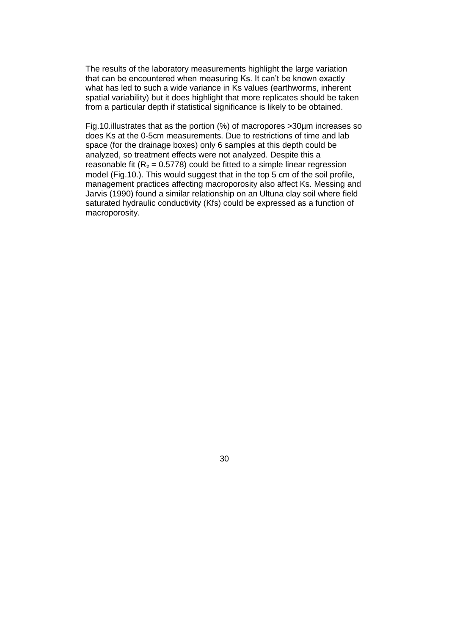The results of the laboratory measurements highlight the large variation that can be encountered when measuring Ks. It can't be known exactly what has led to such a wide variance in Ks values (earthworms, inherent spatial variability) but it does highlight that more replicates should be taken from a particular depth if statistical significance is likely to be obtained.

Fig.10.illustrates that as the portion (%) of macropores >30µm increases so does Ks at the 0-5cm measurements. Due to restrictions of time and lab space (for the drainage boxes) only 6 samples at this depth could be analyzed, so treatment effects were not analyzed. Despite this a reasonable fit ( $R_2$  = 0.5778) could be fitted to a simple linear regression model (Fig.10.). This would suggest that in the top 5 cm of the soil profile, management practices affecting macroporosity also affect Ks. Messing and Jarvis (1990) found a similar relationship on an Ultuna clay soil where field saturated hydraulic conductivity (Kfs) could be expressed as a function of macroporosity.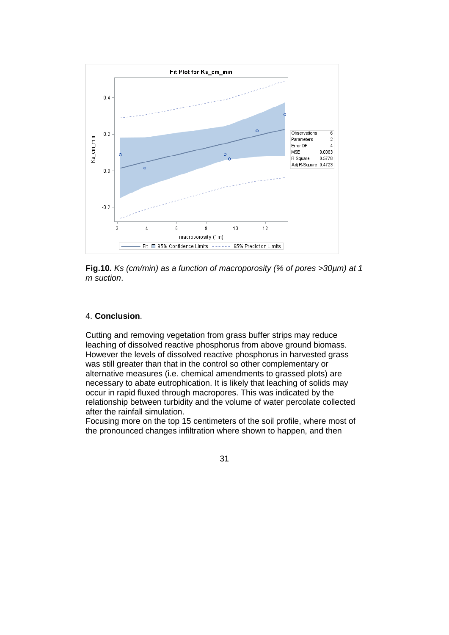

**Fig.10.** *Ks (cm/min) as a function of macroporosity (% of pores >30µm) at 1 m suction*.

#### 4. **Conclusion**.

Cutting and removing vegetation from grass buffer strips may reduce leaching of dissolved reactive phosphorus from above ground biomass. However the levels of dissolved reactive phosphorus in harvested grass was still greater than that in the control so other complementary or alternative measures (i.e. chemical amendments to grassed plots) are necessary to abate eutrophication. It is likely that leaching of solids may occur in rapid fluxed through macropores. This was indicated by the relationship between turbidity and the volume of water percolate collected after the rainfall simulation.

Focusing more on the top 15 centimeters of the soil profile, where most of the pronounced changes infiltration where shown to happen, and then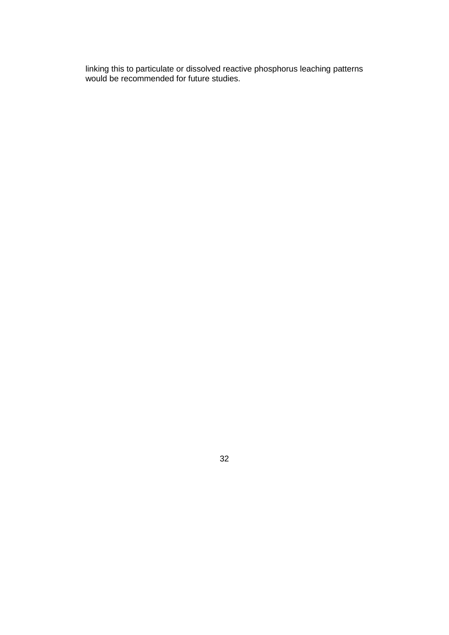linking this to particulate or dissolved reactive phosphorus leaching patterns would be recommended for future studies.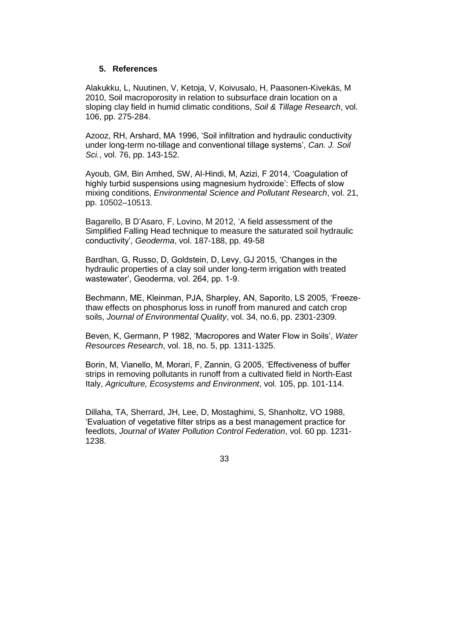#### **5. References**

Alakukku, L, Nuutinen, V, Ketoja, V, Koivusalo, H, Paasonen-Kivekäs, M 2010, Soil macroporosity in relation to subsurface drain location on a sloping clay field in humid climatic conditions, *Soil & Tillage Research*, vol. 106, pp. 275-284.

Azooz, RH, Arshard, MA 1996, 'Soil infiltration and hydraulic conductivity under long-term no-tillage and conventional tillage systems', *Can. J. Soil Sci.*, vol. 76, pp. 143-152.

Ayoub, GM, Bin Amhed, SW, Al-Hindi, M, Azizi, F 2014, 'Coagulation of highly turbid suspensions using magnesium hydroxide': Effects of slow mixing conditions, *Environmental Science and Pollutant Research*, vol. 21, pp. 10502–10513.

Bagarello, B D'Asaro, F, Lovino, M 2012, 'A field assessment of the Simplified Falling Head technique to measure the saturated soil hydraulic conductivity', *Geoderma*, vol. 187-188, pp. 49-58

Bardhan, G, Russo, D, Goldstein, D, Levy, GJ 2015, 'Changes in the hydraulic properties of a clay soil under long-term irrigation with treated wastewater', Geoderma, vol. 264, pp. 1-9.

Bechmann, ME, Kleinman, PJA, Sharpley, AN, Saporito, LS 2005, 'Freezethaw effects on phosphorus loss in runoff from manured and catch crop soils, *Journal of Environmental Quality*, vol. 34, no.6, pp. 2301-2309.

Beven, K, Germann, P 1982, 'Macropores and Water Flow in Soils', *Water Resources Research*, vol. 18, no. 5, pp. 1311-1325.

Borin, M, Vianello, M, Morari, F, Zannin, G 2005, 'Effectiveness of buffer strips in removing pollutants in runoff from a cultivated field in North-East Italy, *Agriculture, Ecosystems and Environment*, vol. 105, pp. 101-114.

Dillaha, TA, Sherrard, JH, Lee, D, Mostaghimi, S, Shanholtz, VO 1988, 'Evaluation of vegetative filter strips as a best management practice for feedlots, *Journal of Water Pollution Control Federation*, vol. 60 pp. 1231- 1238.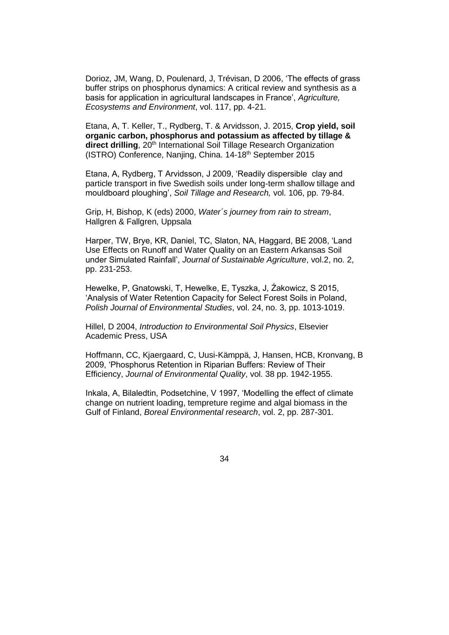Dorioz, JM, Wang, D, Poulenard, J, Trévisan, D 2006, 'The effects of grass buffer strips on phosphorus dynamics: A critical review and synthesis as a basis for application in agricultural landscapes in France', *Agriculture, Ecosystems and Environment*, vol. 117, pp. 4-21.

Etana, A, T. Keller, T., Rydberg, T. & Arvidsson, J. 2015, **Crop yield, soil organic carbon, phosphorus and potassium as affected by tillage &**  direct drilling, 20<sup>th</sup> International Soil Tillage Research Organization (ISTRO) Conference, Nanjing, China. 14-18<sup>th</sup> September 2015

Etana, A, Rydberg, T Arvidsson, J 2009, 'Readily dispersible clay and particle transport in five Swedish soils under long-term shallow tillage and mouldboard ploughing', *Soil Tillage and Research,* vol. 106, pp. 79-84.

Grip, H, Bishop, K (eds) 2000, *Water´s journey from rain to stream*, Hallgren & Fallgren, Uppsala

Harper, TW, Brye, KR, Daniel, TC, Slaton, NA, Haggard, BE 2008, 'Land Use Effects on Runoff and Water Quality on an Eastern Arkansas Soil under Simulated Rainfall', *Journal of Sustainable Agriculture*, vol.2, no. 2, pp. 231-253.

Hewelke, P, Gnatowski, T, Hewelke, E, Tyszka, J, Źakowicz, S 2015, 'Analysis of Water Retention Capacity for Select Forest Soils in Poland, *Polish Journal of Environmental Studies*, vol. 24, no. 3, pp. 1013-1019.

Hillel, D 2004, *Introduction to Environmental Soil Physics*, Elsevier Academic Press, USA

Hoffmann, CC, Kjaergaard, C, Uusi-Kämppä, J, Hansen, HCB, Kronvang, B 2009, 'Phosphorus Retention in Riparian Buffers: Review of Their Efficiency, *Journal of Environmental Quality*, vol. 38 pp. 1942-1955.

Inkala, A, Bilaledtin, Podsetchine, V 1997, 'Modelling the effect of climate change on nutrient loading, tempreture regime and algal biomass in the Gulf of Finland, *Boreal Environmental research*, vol. 2, pp. 287-301.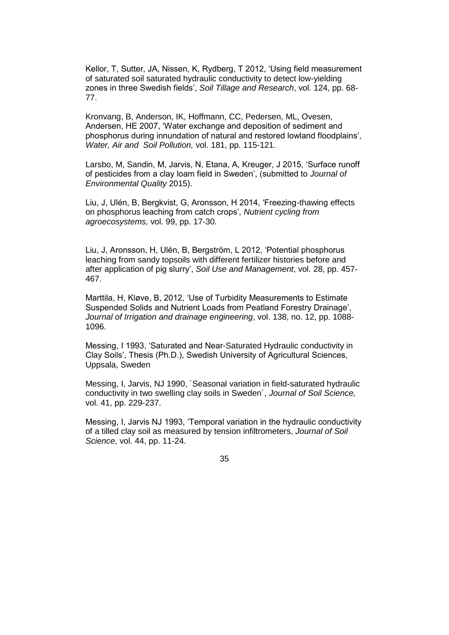Kellor, T, Sutter, JA, Nissen, K, Rydberg, T 2012, 'Using field measurement of saturated soil saturated hydraulic conductivity to detect low-yielding zones in three Swedish fields', *Soil Tillage and Research*, vol. 124, pp. 68- 77.

Kronvang, B, Anderson, IK, Hoffmann, CC, Pedersen, ML, Ovesen, Andersen, HE 2007, 'Water exchange and deposition of sediment and phosphorus during innundation of natural and restored lowland floodplains', *Water, Air and Soil Pollution,* vol. 181, pp. 115-121.

Larsbo, M, Sandin, M, Jarvis, N, Etana, A, Kreuger, J 2015, 'Surface runoff of pesticides from a clay loam field in Sweden', (submitted to *Journal of Environmental Quality* 2015).

Liu, J, Ulén, B, Bergkvist, G, Aronsson, H 2014, 'Freezing-thawing effects on phosphorus leaching from catch crops', *Nutrient cycling from agroecosystems,* vol. 99, pp. 17-30.

Liu, J, Aronsson, H, Ulén, B, Bergström, L 2012, 'Potential phosphorus leaching from sandy topsoils with different fertilizer histories before and after application of pig slurry', *Soil Use and Management*, vol. 28, pp. 457- 467.

Marttila, H, Kløve, B, 2012, 'Use of Turbidity Measurements to Estimate Suspended Solids and Nutrient Loads from Peatland Forestry Drainage', *Journal of Irrigation and drainage engineering*, vol. 138, no. 12, pp. 1088- 1096.

Messing, I 1993, 'Saturated and Near-Saturated Hydraulic conductivity in Clay Soils', Thesis (Ph.D.), Swedish University of Agricultural Sciences, Uppsala, Sweden

Messing, I, Jarvis, NJ 1990, ´Seasonal variation in field-saturated hydraulic conductivity in two swelling clay soils in Sweden´, *Journal of Soil Science,*  vol. 41, pp. 229-237.

Messing, I, Jarvis NJ 1993, 'Temporal variation in the hydraulic conductivity of a tilled clay soil as measured by tension infiltrometers, *Journal of Soil Science*, vol. 44, pp. 11-24.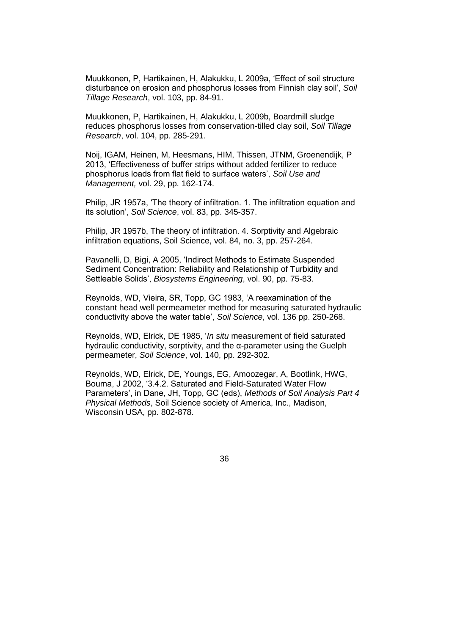Muukkonen, P, Hartikainen, H, Alakukku, L 2009a, 'Effect of soil structure disturbance on erosion and phosphorus losses from Finnish clay soil', *Soil Tillage Research*, vol. 103, pp. 84-91.

Muukkonen, P, Hartikainen, H, Alakukku, L 2009b, Boardmill sludge reduces phosphorus losses from conservation-tilled clay soil, *Soil Tillage Research*, vol. 104, pp. 285-291.

Noij, IGAM, Heinen, M, Heesmans, HIM, Thissen, JTNM, Groenendijk, P 2013, 'Effectiveness of buffer strips without added fertilizer to reduce phosphorus loads from flat field to surface waters', *Soil Use and Management,* vol. 29, pp. 162-174.

Philip, JR 1957a, 'The theory of infiltration. 1. The infiltration equation and its solution', *Soil Science*, vol. 83, pp. 345-357.

Philip, JR 1957b, The theory of infiltration. 4. Sorptivity and Algebraic infiltration equations, Soil Science, vol. 84, no. 3, pp. 257-264.

Pavanelli, D, Bigi, A 2005, 'Indirect Methods to Estimate Suspended Sediment Concentration: Reliability and Relationship of Turbidity and Settleable Solids', *Biosystems Engineering*, vol. 90, pp. 75-83.

Reynolds, WD, Vieira, SR, Topp, GC 1983, 'A reexamination of the constant head well permeameter method for measuring saturated hydraulic conductivity above the water table', *Soil Science*, vol. 136 pp. 250-268.

Reynolds, WD, Elrick, DE 1985, '*In situ* measurement of field saturated hydraulic conductivity, sorptivity, and the α-parameter using the Guelph permeameter, *Soil Science*, vol. 140, pp. 292-302.

Reynolds, WD, Elrick, DE, Youngs, EG, Amoozegar, A, Bootlink, HWG, Bouma, J 2002, '3.4.2. Saturated and Field-Saturated Water Flow Parameters', in Dane, JH, Topp, GC (eds), *Methods of Soil Analysis Part 4 Physical Methods*, Soil Science society of America, Inc., Madison, Wisconsin USA, pp. 802-878.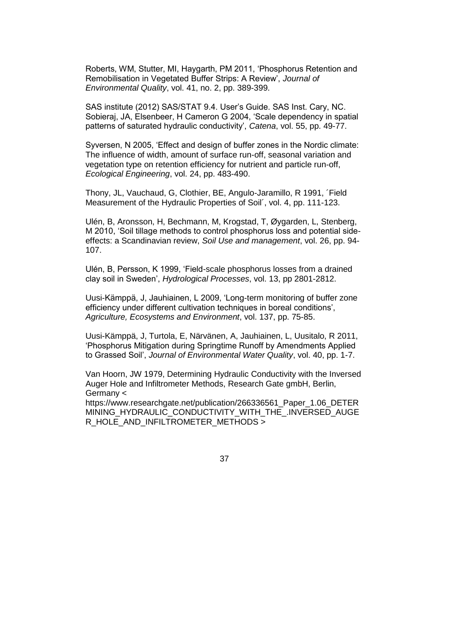Roberts, WM, Stutter, MI, Haygarth, PM 2011, 'Phosphorus Retention and Remobilisation in Vegetated Buffer Strips: A Review', *Journal of Environmental Quality*, vol. 41, no. 2, pp. 389-399.

SAS institute (2012) SAS/STAT 9.4. User's Guide. SAS Inst. Cary, NC. Sobieraj, JA, Elsenbeer, H Cameron G 2004, 'Scale dependency in spatial patterns of saturated hydraulic conductivity', *Catena*, vol. 55, pp. 49-77.

Syversen, N 2005, 'Effect and design of buffer zones in the Nordic climate: The influence of width, amount of surface run-off, seasonal variation and vegetation type on retention efficiency for nutrient and particle run-off, *Ecological Engineering*, vol. 24, pp. 483-490.

Thony, JL, Vauchaud, G, Clothier, BE, Angulo-Jaramillo, R 1991, ´Field Measurement of the Hydraulic Properties of Soil´, vol. 4, pp. 111-123.

Ulén, B, Aronsson, H, Bechmann, M, Krogstad, T, Øygarden, L, Stenberg, M 2010, 'Soil tillage methods to control phosphorus loss and potential sideeffects: a Scandinavian review, *Soil Use and management*, vol. 26, pp. 94- 107.

Ulén, B, Persson, K 1999, 'Field-scale phosphorus losses from a drained clay soil in Sweden', *Hydrological Processes*, vol. 13, pp 2801-2812.

Uusi-Kämppä, J, Jauhiainen, L 2009, 'Long-term monitoring of buffer zone efficiency under different cultivation techniques in boreal conditions', *Agriculture, Ecosystems and Environment*, vol. 137, pp. 75-85.

Uusi-Kämppä, J, Turtola, E, Närvänen, A, Jauhiainen, L, Uusitalo, R 2011, 'Phosphorus Mitigation during Springtime Runoff by Amendments Applied to Grassed Soil', *Journal of Environmental Water Quality*, vol. 40, pp. 1-7.

Van Hoorn, JW 1979, Determining Hydraulic Conductivity with the Inversed Auger Hole and Infiltrometer Methods, Research Gate gmbH, Berlin, Germany <

https://www.researchgate.net/publication/266336561\_Paper\_1.06\_DETER MINING HYDRAULIC CONDUCTIVITY WITH THE .INVERSED AUGE R\_HOLE\_AND\_INFILTROMETER\_METHODS >